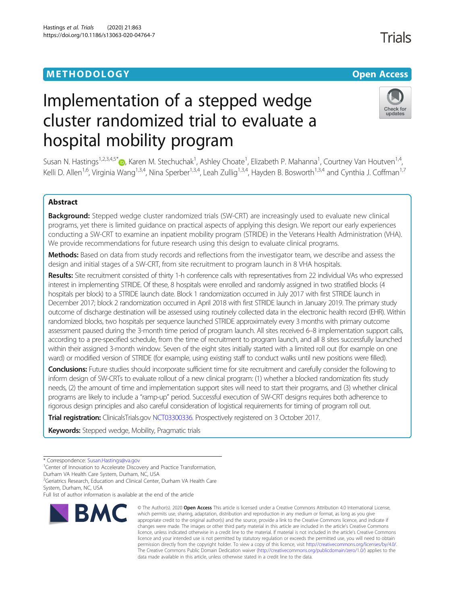# **METHODOLOGY CONSUMING ACCESS CONSUMING ACCESS**

# Implementation of a stepped wedge cluster randomized trial to evaluate a hospital mobility program

Susan N. Hastings<sup>1,2,3,4,5[\\*](http://orcid.org/0000-0002-5750-8820)</sup>®, Karen M. Stechuchak<sup>1</sup>, Ashley Choate<sup>1</sup>, Elizabeth P. Mahanna<sup>1</sup>, Courtney Van Houtven<sup>1,4</sup>, Kelli D. Allen<sup>1,6</sup>, Virginia Wang<sup>1,3,4</sup>, Nina Sperber<sup>1,3,4</sup>, Leah Zullig<sup>1,3,4</sup>, Hayden B. Bosworth<sup>1,3,4</sup> and Cynthia J. Coffman<sup>1,7</sup>

# Abstract

Background: Stepped wedge cluster randomized trials (SW-CRT) are increasingly used to evaluate new clinical programs, yet there is limited guidance on practical aspects of applying this design. We report our early experiences conducting a SW-CRT to examine an inpatient mobility program (STRIDE) in the Veterans Health Administration (VHA). We provide recommendations for future research using this design to evaluate clinical programs.

Methods: Based on data from study records and reflections from the investigator team, we describe and assess the design and initial stages of a SW-CRT, from site recruitment to program launch in 8 VHA hospitals.

Results: Site recruitment consisted of thirty 1-h conference calls with representatives from 22 individual VAs who expressed interest in implementing STRIDE. Of these, 8 hospitals were enrolled and randomly assigned in two stratified blocks (4 hospitals per block) to a STRIDE launch date. Block 1 randomization occurred in July 2017 with first STRIDE launch in December 2017; block 2 randomization occurred in April 2018 with first STRIDE launch in January 2019. The primary study outcome of discharge destination will be assessed using routinely collected data in the electronic health record (EHR). Within randomized blocks, two hospitals per sequence launched STRIDE approximately every 3 months with primary outcome assessment paused during the 3-month time period of program launch. All sites received 6–8 implementation support calls, according to a pre-specified schedule, from the time of recruitment to program launch, and all 8 sites successfully launched within their assigned 3-month window. Seven of the eight sites initially started with a limited roll out (for example on one ward) or modified version of STRIDE (for example, using existing staff to conduct walks until new positions were filled).

Conclusions: Future studies should incorporate sufficient time for site recruitment and carefully consider the following to inform design of SW-CRTs to evaluate rollout of a new clinical program: (1) whether a blocked randomization fits study needs, (2) the amount of time and implementation support sites will need to start their programs, and (3) whether clinical programs are likely to include a "ramp-up" period. Successful execution of SW-CRT designs requires both adherence to rigorous design principles and also careful consideration of logistical requirements for timing of program roll out.

Trial registration: ClinicalsTrials.gov [NCT03300336.](https://clinicaltrials.gov/ct2/show/NCT03300336?term=NCT03300336&draw=2&rank=1) Prospectively registered on 3 October 2017.

**Keywords:** Stepped wedge, Mobility, Pragmatic trials

\* Correspondence: [Susan.Hastings@va.gov](mailto:Susan.Hastings@va.gov) <sup>1</sup>

<sup>1</sup>Center of Innovation to Accelerate Discovery and Practice Transformation,

Durham VA Health Care System, Durham, NC, USA

<sup>2</sup>Geriatrics Research, Education and Clinical Center, Durham VA Health Care System, Durham, NC, USA

Full list of author information is available at the end of the article

# **BMC**





<sup>©</sup> The Author(s), 2020 **Open Access** This article is licensed under a Creative Commons Attribution 4.0 International License, which permits use, sharing, adaptation, distribution and reproduction in any medium or format, as long as you give appropriate credit to the original author(s) and the source, provide a link to the Creative Commons licence, and indicate if changes were made. The images or other third party material in this article are included in the article's Creative Commons licence, unless indicated otherwise in a credit line to the material. If material is not included in the article's Creative Commons licence and your intended use is not permitted by statutory regulation or exceeds the permitted use, you will need to obtain permission directly from the copyright holder. To view a copy of this licence, visit [http://creativecommons.org/licenses/by/4.0/.](http://creativecommons.org/licenses/by/4.0/) The Creative Commons Public Domain Dedication waiver [\(http://creativecommons.org/publicdomain/zero/1.0/](http://creativecommons.org/publicdomain/zero/1.0/)) applies to the data made available in this article, unless otherwise stated in a credit line to the data.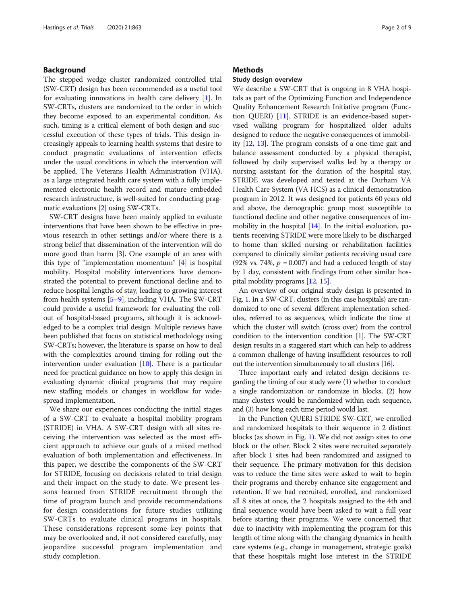# Background

The stepped wedge cluster randomized controlled trial (SW-CRT) design has been recommended as a useful tool for evaluating innovations in health care delivery [[1\]](#page-7-0). In SW-CRTs, clusters are randomized to the order in which they become exposed to an experimental condition. As such, timing is a critical element of both design and successful execution of these types of trials. This design increasingly appeals to learning health systems that desire to conduct pragmatic evaluations of intervention effects under the usual conditions in which the intervention will be applied. The Veterans Health Administration (VHA), as a large integrated health care system with a fully implemented electronic health record and mature embedded research infrastructure, is well-suited for conducting pragmatic evaluations [\[2\]](#page-7-0) using SW-CRTs.

SW-CRT designs have been mainly applied to evaluate interventions that have been shown to be effective in previous research in other settings and/or where there is a strong belief that dissemination of the intervention will do more good than harm [\[3](#page-8-0)]. One example of an area with this type of "implementation momentum" [[4\]](#page-8-0) is hospital mobility. Hospital mobility interventions have demonstrated the potential to prevent functional decline and to reduce hospital lengths of stay, leading to growing interest from health systems [\[5](#page-8-0)–[9](#page-8-0)], including VHA. The SW-CRT could provide a useful framework for evaluating the rollout of hospital-based programs, although it is acknowledged to be a complex trial design. Multiple reviews have been published that focus on statistical methodology using SW-CRTs; however, the literature is sparse on how to deal with the complexities around timing for rolling out the intervention under evaluation  $[10]$  $[10]$  $[10]$ . There is a particular need for practical guidance on how to apply this design in evaluating dynamic clinical programs that may require new staffing models or changes in workflow for widespread implementation.

We share our experiences conducting the initial stages of a SW-CRT to evaluate a hospital mobility program (STRIDE) in VHA. A SW-CRT design with all sites receiving the intervention was selected as the most efficient approach to achieve our goals of a mixed method evaluation of both implementation and effectiveness. In this paper, we describe the components of the SW-CRT for STRIDE, focusing on decisions related to trial design and their impact on the study to date. We present lessons learned from STRIDE recruitment through the time of program launch and provide recommendations for design considerations for future studies utilizing SW-CRTs to evaluate clinical programs in hospitals. These considerations represent some key points that may be overlooked and, if not considered carefully, may jeopardize successful program implementation and study completion.

# **Methods**

# Study design overview

We describe a SW-CRT that is ongoing in 8 VHA hospitals as part of the Optimizing Function and Independence Quality Enhancement Research Initiative program (Function QUERI) [\[11](#page-8-0)]. STRIDE is an evidence-based supervised walking program for hospitalized older adults designed to reduce the negative consequences of immobility [\[12,](#page-8-0) [13](#page-8-0)]. The program consists of a one-time gait and balance assessment conducted by a physical therapist, followed by daily supervised walks led by a therapy or nursing assistant for the duration of the hospital stay. STRIDE was developed and tested at the Durham VA Health Care System (VA HCS) as a clinical demonstration program in 2012. It was designed for patients 60 years old and above, the demographic group most susceptible to functional decline and other negative consequences of immobility in the hospital [[14](#page-8-0)]. In the initial evaluation, patients receiving STRIDE were more likely to be discharged to home than skilled nursing or rehabilitation facilities compared to clinically similar patients receiving usual care (92% vs. 74%,  $p = 0.007$ ) and had a reduced length of stay by 1 day, consistent with findings from other similar hospital mobility programs [\[12,](#page-8-0) [15](#page-8-0)].

An overview of our original study design is presented in Fig. [1.](#page-2-0) In a SW-CRT, clusters (in this case hospitals) are randomized to one of several different implementation schedules, referred to as sequences, which indicate the time at which the cluster will switch (cross over) from the control condition to the intervention condition [[1](#page-7-0)]. The SW-CRT design results in a staggered start which can help to address a common challenge of having insufficient resources to roll out the intervention simultaneously to all clusters [\[16](#page-8-0)].

Three important early and related design decisions regarding the timing of our study were (1) whether to conduct a single randomization or randomize in blocks, (2) how many clusters would be randomized within each sequence, and (3) how long each time period would last.

In the Function QUERI STRIDE SW-CRT, we enrolled and randomized hospitals to their sequence in 2 distinct blocks (as shown in Fig. [1\)](#page-2-0). We did not assign sites to one block or the other. Block 2 sites were recruited separately after block 1 sites had been randomized and assigned to their sequence. The primary motivation for this decision was to reduce the time sites were asked to wait to begin their programs and thereby enhance site engagement and retention. If we had recruited, enrolled, and randomized all 8 sites at once, the 2 hospitals assigned to the 4th and final sequence would have been asked to wait a full year before starting their programs. We were concerned that due to inactivity with implementing the program for this length of time along with the changing dynamics in health care systems (e.g., change in management, strategic goals) that these hospitals might lose interest in the STRIDE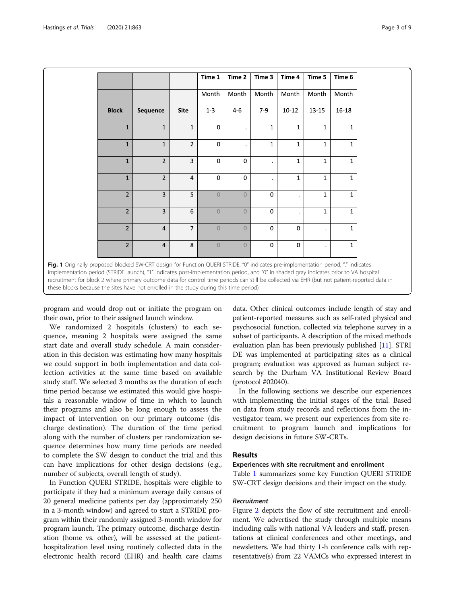<span id="page-2-0"></span>

|                                                                                                                                                                                                                                                                                                                                                                                                                                                                                                                        |                |                |                | Time 1         | Time 2     | Time 3               | Time 4       | Time 5       | Time 6       |
|------------------------------------------------------------------------------------------------------------------------------------------------------------------------------------------------------------------------------------------------------------------------------------------------------------------------------------------------------------------------------------------------------------------------------------------------------------------------------------------------------------------------|----------------|----------------|----------------|----------------|------------|----------------------|--------------|--------------|--------------|
|                                                                                                                                                                                                                                                                                                                                                                                                                                                                                                                        |                |                |                | Month          | Month      | Month                | Month        | Month        | Month        |
|                                                                                                                                                                                                                                                                                                                                                                                                                                                                                                                        | <b>Block</b>   | Sequence       | <b>Site</b>    | $1 - 3$        | $4-6$      | $7-9$                | $10-12$      | $13 - 15$    | 16-18        |
|                                                                                                                                                                                                                                                                                                                                                                                                                                                                                                                        | $\mathbf{1}$   | $\mathbf{1}$   | $\mathbf{1}$   | $\mathbf 0$    |            | $\mathbf{1}$         | $\mathbf{1}$ | 1            | 1            |
|                                                                                                                                                                                                                                                                                                                                                                                                                                                                                                                        | $\mathbf{1}$   | $\mathbf{1}$   | $\overline{2}$ | $\Omega$       |            | $\mathbf{1}$         | $\mathbf{1}$ | $\mathbf{1}$ | $\mathbf{1}$ |
|                                                                                                                                                                                                                                                                                                                                                                                                                                                                                                                        | $\mathbf{1}$   | $\overline{2}$ | 3              | $\Omega$       | $\Omega$   | $\ddot{\phantom{a}}$ | $\mathbf{1}$ | $\mathbf{1}$ | $\mathbf{1}$ |
|                                                                                                                                                                                                                                                                                                                                                                                                                                                                                                                        | $\mathbf{1}$   | $\overline{2}$ | $\overline{4}$ | $\Omega$       | $\Omega$   | ٠                    | $\mathbf{1}$ | $\mathbf{1}$ | $\mathbf{1}$ |
|                                                                                                                                                                                                                                                                                                                                                                                                                                                                                                                        | $\overline{2}$ | 3              | 5              | $\Omega$       | $\bigcap$  | $\mathbf 0$          |              | $\mathbf{1}$ | $\mathbf{1}$ |
|                                                                                                                                                                                                                                                                                                                                                                                                                                                                                                                        | $\overline{2}$ | $\overline{3}$ | 6              | $\Omega$       | $\bigcirc$ | $\mathbf 0$          | $\epsilon$   | $\mathbf{1}$ | $\mathbf{1}$ |
|                                                                                                                                                                                                                                                                                                                                                                                                                                                                                                                        | $\overline{2}$ | $\overline{4}$ | $\overline{7}$ | $\Omega$       | $\Omega$   | $\Omega$             | 0            |              | $\mathbf{1}$ |
|                                                                                                                                                                                                                                                                                                                                                                                                                                                                                                                        | $\overline{2}$ | $\overline{4}$ | 8              | $\overline{0}$ | $\bigcap$  | $\mathbf{0}$         | 0            |              | $\mathbf{1}$ |
| Fig. 1 Originally proposed blocked SW-CRT design for Function QUERI STRIDE. "0" indicates pre-implementation period, "." indicates<br>implementation period (STRIDE launch), "1" indicates post-implementation period, and "0" in shaded gray indicates prior to VA hospital<br>recruitment for block 2 where primary outcome data for control time periods can still be collected via EHR (but not patient-reported data in<br>these blocks because the sites have not enrolled in the study during this time period) |                |                |                |                |            |                      |              |              |              |

program and would drop out or initiate the program on their own, prior to their assigned launch window.

We randomized 2 hospitals (clusters) to each sequence, meaning 2 hospitals were assigned the same start date and overall study schedule. A main consideration in this decision was estimating how many hospitals we could support in both implementation and data collection activities at the same time based on available study staff. We selected 3 months as the duration of each time period because we estimated this would give hospitals a reasonable window of time in which to launch their programs and also be long enough to assess the impact of intervention on our primary outcome (discharge destination). The duration of the time period along with the number of clusters per randomization sequence determines how many time periods are needed to complete the SW design to conduct the trial and this can have implications for other design decisions (e.g., number of subjects, overall length of study).

In Function QUERI STRIDE, hospitals were eligible to participate if they had a minimum average daily census of 20 general medicine patients per day (approximately 250 in a 3-month window) and agreed to start a STRIDE program within their randomly assigned 3-month window for program launch. The primary outcome, discharge destination (home vs. other), will be assessed at the patienthospitalization level using routinely collected data in the electronic health record (EHR) and health care claims data. Other clinical outcomes include length of stay and patient-reported measures such as self-rated physical and psychosocial function, collected via telephone survey in a subset of participants. A description of the mixed methods evaluation plan has been previously published [[11](#page-8-0)]. STRI DE was implemented at participating sites as a clinical program; evaluation was approved as human subject research by the Durham VA Institutional Review Board (protocol #02040).

In the following sections we describe our experiences with implementing the initial stages of the trial. Based on data from study records and reflections from the investigator team, we present our experiences from site recruitment to program launch and implications for design decisions in future SW-CRTs.

# Results

# Experiences with site recruitment and enrollment

Table [1](#page-3-0) summarizes some key Function QUERI STRIDE SW-CRT design decisions and their impact on the study.

# Recruitment

Figure [2](#page-4-0) depicts the flow of site recruitment and enrollment. We advertised the study through multiple means including calls with national VA leaders and staff, presentations at clinical conferences and other meetings, and newsletters. We had thirty 1-h conference calls with representative(s) from 22 VAMCs who expressed interest in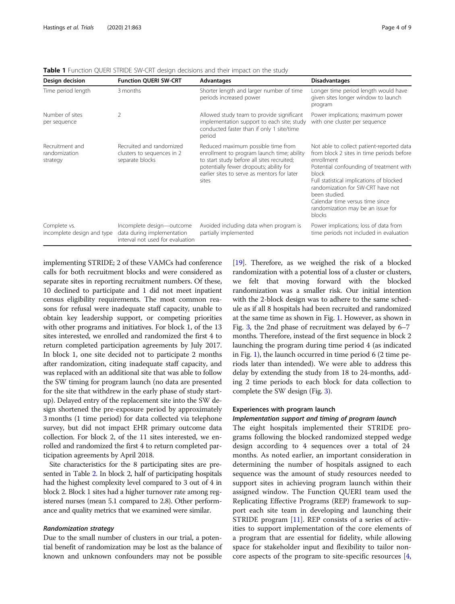| Design decision                              | <b>Function QUERI SW-CRT</b>                                                                | Advantages                                                                                                                                                                                                                        | <b>Disadvantages</b>                                                                                                                                                                                                                                                                                                                         |  |  |
|----------------------------------------------|---------------------------------------------------------------------------------------------|-----------------------------------------------------------------------------------------------------------------------------------------------------------------------------------------------------------------------------------|----------------------------------------------------------------------------------------------------------------------------------------------------------------------------------------------------------------------------------------------------------------------------------------------------------------------------------------------|--|--|
| Time period length<br>3 months               |                                                                                             | Shorter length and larger number of time<br>periods increased power                                                                                                                                                               | Longer time period length would have<br>given sites longer window to launch<br>program                                                                                                                                                                                                                                                       |  |  |
| Number of sites<br>per sequence              | $\overline{2}$                                                                              | Allowed study team to provide significant<br>implementation support to each site; study<br>conducted faster than if only 1 site/time<br>period                                                                                    | Power implications; maximum power<br>with one cluster per sequence                                                                                                                                                                                                                                                                           |  |  |
| Recruitment and<br>randomization<br>strategy | Recruited and randomized<br>clusters to sequences in 2<br>separate blocks                   | Reduced maximum possible time from<br>enrollment to program launch time; ability<br>to start study before all sites recruited;<br>potentially fewer dropouts; ability for<br>earlier sites to serve as mentors for later<br>sites | Not able to collect patient-reported data<br>from block 2 sites in time periods before<br>enrollment<br>Potential confounding of treatment with<br>block<br>Full statistical implications of blocked<br>randomization for SW-CRT have not<br>been studied.<br>Calendar time versus time since<br>randomization may be an issue for<br>blocks |  |  |
| Complete vs.<br>incomplete design and type   | Incomplete design-outcome<br>data during implementation<br>interval not used for evaluation | Avoided including data when program is<br>partially implemented                                                                                                                                                                   | Power implications; loss of data from<br>time periods not included in evaluation                                                                                                                                                                                                                                                             |  |  |

<span id="page-3-0"></span>Table 1 Function QUERI STRIDE SW-CRT design decisions and their impact on the study

implementing STRIDE; 2 of these VAMCs had conference calls for both recruitment blocks and were considered as separate sites in reporting recruitment numbers. Of these, 10 declined to participate and 1 did not meet inpatient census eligibility requirements. The most common reasons for refusal were inadequate staff capacity, unable to obtain key leadership support, or competing priorities with other programs and initiatives. For block 1, of the 13 sites interested, we enrolled and randomized the first 4 to return completed participation agreements by July 2017. In block 1, one site decided not to participate 2 months after randomization, citing inadequate staff capacity, and was replaced with an additional site that was able to follow the SW timing for program launch (no data are presented for the site that withdrew in the early phase of study startup). Delayed entry of the replacement site into the SW design shortened the pre-exposure period by approximately 3 months (1 time period) for data collected via telephone survey, but did not impact EHR primary outcome data collection. For block 2, of the 11 sites interested, we enrolled and randomized the first 4 to return completed participation agreements by April 2018.

Site characteristics for the 8 participating sites are presented in Table [2.](#page-4-0) In block 2, half of participating hospitals had the highest complexity level compared to 3 out of 4 in block 2. Block 1 sites had a higher turnover rate among registered nurses (mean 5.1 compared to 2.8). Other performance and quality metrics that we examined were similar.

# Randomization strategy

Due to the small number of clusters in our trial, a potential benefit of randomization may be lost as the balance of known and unknown confounders may not be possible [[19](#page-8-0)]. Therefore, as we weighed the risk of a blocked randomization with a potential loss of a cluster or clusters, we felt that moving forward with the blocked randomization was a smaller risk. Our initial intention with the 2-block design was to adhere to the same schedule as if all 8 hospitals had been recruited and randomized at the same time as shown in Fig. [1.](#page-2-0) However, as shown in Fig. [3](#page-5-0), the 2nd phase of recruitment was delayed by 6–7 months. Therefore, instead of the first sequence in block 2 launching the program during time period 4 (as indicated in Fig. [1\)](#page-2-0), the launch occurred in time period 6 (2 time periods later than intended). We were able to address this delay by extending the study from 18 to 24-months, adding 2 time periods to each block for data collection to complete the SW design (Fig. [3\)](#page-5-0).

# Experiences with program launch

#### Implementation support and timing of program launch

The eight hospitals implemented their STRIDE programs following the blocked randomized stepped wedge design according to 4 sequences over a total of 24 months. As noted earlier, an important consideration in determining the number of hospitals assigned to each sequence was the amount of study resources needed to support sites in achieving program launch within their assigned window. The Function QUERI team used the Replicating Effective Programs (REP) framework to support each site team in developing and launching their STRIDE program [[11](#page-8-0)]. REP consists of a series of activities to support implementation of the core elements of a program that are essential for fidelity, while allowing space for stakeholder input and flexibility to tailor noncore aspects of the program to site-specific resources [\[4](#page-8-0),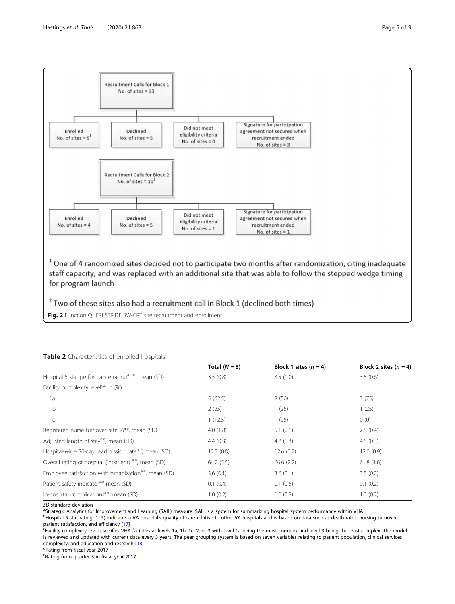<span id="page-4-0"></span>

staff capacity, and was replaced with an additional site that was able to follow the stepped wedge timing for program launch

 $2$  Two of these sites also had a recruitment call in Block 1 (declined both times)

Fig. 2 Function QUERI STRIDE SW-CRT site recruitment and enrollment

|                                                                    | Total $(N = 8)$ | Block 1 sites $(n = 4)$ | Block 2 sites $(n = 4)$ |
|--------------------------------------------------------------------|-----------------|-------------------------|-------------------------|
| Hospital 5 star performance rating <sup>a,b,d</sup> , mean (SD)    | 3.5(0.8)        | 3.5(1.0)                | 3.5(0.6)                |
| Facility complexity level <sup>c,d</sup> , n (%)                   |                 |                         |                         |
| 1a                                                                 | 5(62.5)         | 2(50)                   | 3(75)                   |
| 1b                                                                 | 2(25)           | 1(25)                   | 1(25)                   |
| 1c                                                                 | 1(12.5)         | 1(25)                   | 0(0)                    |
| Registered nurse turnover rate $\%^{a,e}$ , mean (SD)              | 4.0(1.8)        | 5.1(2.1)                | 2.8(0.4)                |
| Adjusted length of stay <sup>a,e</sup> , mean (SD)                 | 4.4(0.3)        | 4.2(0.3)                | 4.5(0.3)                |
| Hospital-wide 30-day readmission rate <sup>a,e</sup> , mean (SD)   | 12.3(0.8)       | 12.6(0.7)               | 12.0(0.9)               |
| Overall rating of hospital (inpatient) a,e, mean (SD)              | 64.2(5.5)       | 66.6 (7.2)              | 61.8(1.6)               |
| Employee satisfaction with organization <sup>a,e</sup> , mean (SD) | 3.6(0.1)        | 3.6(0.1)                | 3.5(0.2)                |
| Patient safety indicator <sup>a,e</sup> mean (SD)                  | 0.1(0.4)        | 0.1(0.5)                | 0.1(0.2)                |
| In-hospital complications <sup>a,e</sup> , mean (SD)               | 1.0(0.2)        | 1.0(0.2)                | 1.0(0.2)                |

# Table 2 Characteristics of enrolled hospitals

SD standard deviation

<sup>a</sup>Strategic Analytics for Improvement and Learning (SAIL) measure. SAIL is a system for summarizing hospital system performance within VHA

b<br>Hospital 5-star rating (1–5) indicates a VA hospital's quality of care relative to other VA hospitals and is based on data such as death rates, nursing turnover, patient satisfaction, and efficiency [\[17](#page-8-0)]

Facility complexity level classifies VHA facilities at levels 1a, 1b, 1c, 2, or 3 with level 1a being the most complex and level 3 being the least complex. The model is reviewed and updated with current data every 3 years. The peer grouping system is based on seven variables relating to patient population, clinical services complexity, and education and research  $[18]$  $[18]$ 

Rating from fiscal year 2017

e<br>Rating from quarter 3 in fiscal year 2017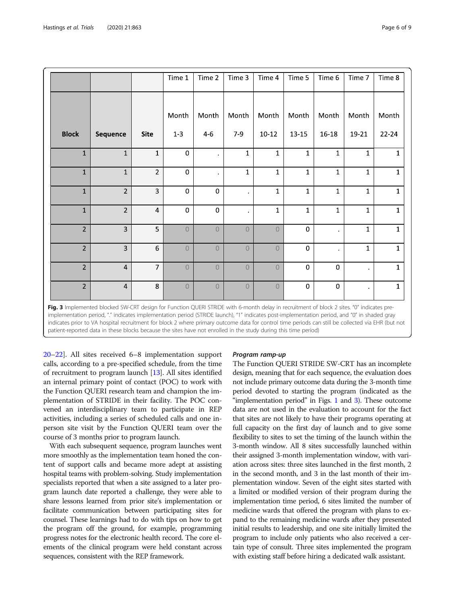<span id="page-5-0"></span>

|                |                |                         | Time 1         | Time 2         | Time 3       | Time 4         | Time 5           | Time 6               | Time 7               | Time 8       |
|----------------|----------------|-------------------------|----------------|----------------|--------------|----------------|------------------|----------------------|----------------------|--------------|
|                |                |                         | Month          | Month          | Month        | Month          | Month            | Month                | Month                | Month        |
| <b>Block</b>   | Sequence       | <b>Site</b>             | $1-3$          | $4 - 6$        | $7-9$        | $10-12$        | $13 - 15$        | $16-18$              | 19-21                | $22 - 24$    |
| $\mathbf 1$    | $\mathbf 1$    | $\mathbf{1}$            | $\mathbf 0$    | $\bullet$      | $\mathbf{1}$ | $\mathbf{1}$   | $\mathbf 1$      | $\mathbf{1}$         | $\mathbf{1}$         | $\mathbf{1}$ |
| $\mathbf 1$    | $\mathbf 1$    | $\overline{2}$          | $\pmb{0}$      | $\bullet$      | $\mathbf{1}$ | $\mathbf{1}$   | $\mathbf{1}$     | $\mathbf{1}$         | $\mathbf{1}$         | $\mathbf{1}$ |
| $\mathbf 1$    | $\overline{2}$ | $\overline{3}$          | $\pmb{0}$      | 0              | $\bullet$    | $\mathbf 1$    | $\mathbf{1}$     | $\mathbf{1}$         | $\mathbf{1}$         | $\mathbf{1}$ |
| $\mathbf 1$    | $\overline{2}$ | $\overline{\mathbf{4}}$ | $\pmb{0}$      | $\mathbf 0$    | $\bullet$    | $\mathbf 1$    | $\mathbf 1$      | $\mathbf 1$          | $\mathbf{1}$         | $\mathbf{1}$ |
| $\overline{2}$ | $\mathsf{3}$   | 5                       | $\mathbf 0$    | $\overline{0}$ | $\circ$      | $\mathbf 0$    | $\pmb{0}$        | $\bullet$            | $\mathbf 1$          | $\mathbf 1$  |
| $\overline{2}$ | $\overline{3}$ | 6                       | $\overline{0}$ | $\overline{0}$ | $\mathcal O$ | $\circledcirc$ | $\mathbf 0$      | $\ddot{\phantom{0}}$ | $\mathbf{1}$         | $\mathbf{1}$ |
| $\overline{2}$ | $\sqrt{4}$     | $\overline{7}$          | $\overline{0}$ | $\overline{0}$ | $\circ$      | $\mathbf 0$    | $\pmb{0}$        | $\pmb{0}$            |                      | 1            |
| $\overline{2}$ | $\sqrt{4}$     | 8                       | $\overline{0}$ | $\overline{0}$ | $\mathbf 0$  | $\mathbf 0$    | $\boldsymbol{0}$ | $\boldsymbol{0}$     | $\ddot{\phantom{a}}$ | $\mathbf{1}$ |

Fig. 3 Implemented blocked SW-CRT design for Function QUERI STRIDE with 6-month delay in recruitment of block 2 sites. "0" indicates preimplementation period, "." indicates implementation period (STRIDE launch), "1" indicates post-implementation period, and "0" in shaded gray indicates prior to VA hospital recruitment for block 2 where primary outcome data for control time periods can still be collected via EHR (but not patient-reported data in these blocks because the sites have not enrolled in the study during this time period)

[20](#page-8-0)–[22](#page-8-0)]. All sites received 6–8 implementation support calls, according to a pre-specified schedule, from the time of recruitment to program launch [[13](#page-8-0)]. All sites identified an internal primary point of contact (POC) to work with the Function QUERI research team and champion the implementation of STRIDE in their facility. The POC convened an interdisciplinary team to participate in REP activities, including a series of scheduled calls and one inperson site visit by the Function QUERI team over the course of 3 months prior to program launch.

With each subsequent sequence, program launches went more smoothly as the implementation team honed the content of support calls and became more adept at assisting hospital teams with problem-solving. Study implementation specialists reported that when a site assigned to a later program launch date reported a challenge, they were able to share lessons learned from prior site's implementation or facilitate communication between participating sites for counsel. These learnings had to do with tips on how to get the program off the ground, for example, programming progress notes for the electronic health record. The core elements of the clinical program were held constant across sequences, consistent with the REP framework.

# Program ramp-up

The Function QUERI STRIDE SW-CRT has an incomplete design, meaning that for each sequence, the evaluation does not include primary outcome data during the 3-month time period devoted to starting the program (indicated as the "implementation period" in Figs. [1](#page-2-0) and 3). These outcome data are not used in the evaluation to account for the fact that sites are not likely to have their programs operating at full capacity on the first day of launch and to give some flexibility to sites to set the timing of the launch within the 3-month window. All 8 sites successfully launched within their assigned 3-month implementation window, with variation across sites: three sites launched in the first month, 2 in the second month, and 3 in the last month of their implementation window. Seven of the eight sites started with a limited or modified version of their program during the implementation time period, 6 sites limited the number of medicine wards that offered the program with plans to expand to the remaining medicine wards after they presented initial results to leadership, and one site initially limited the program to include only patients who also received a certain type of consult. Three sites implemented the program with existing staff before hiring a dedicated walk assistant.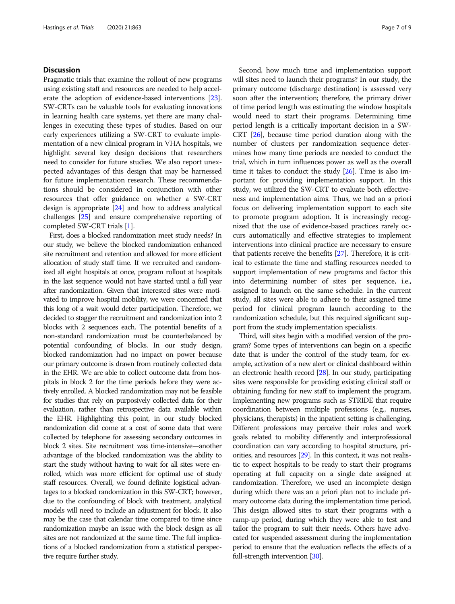# **Discussion**

Pragmatic trials that examine the rollout of new programs using existing staff and resources are needed to help accelerate the adoption of evidence-based interventions [[23](#page-8-0)]. SW-CRTs can be valuable tools for evaluating innovations in learning health care systems, yet there are many challenges in executing these types of studies. Based on our early experiences utilizing a SW-CRT to evaluate implementation of a new clinical program in VHA hospitals, we highlight several key design decisions that researchers need to consider for future studies. We also report unexpected advantages of this design that may be harnessed for future implementation research. These recommendations should be considered in conjunction with other resources that offer guidance on whether a SW-CRT design is appropriate [\[24\]](#page-8-0) and how to address analytical challenges [\[25\]](#page-8-0) and ensure comprehensive reporting of completed SW-CRT trials [\[1](#page-7-0)].

First, does a blocked randomization meet study needs? In our study, we believe the blocked randomization enhanced site recruitment and retention and allowed for more efficient allocation of study staff time. If we recruited and randomized all eight hospitals at once, program rollout at hospitals in the last sequence would not have started until a full year after randomization. Given that interested sites were motivated to improve hospital mobility, we were concerned that this long of a wait would deter participation. Therefore, we decided to stagger the recruitment and randomization into 2 blocks with 2 sequences each. The potential benefits of a non-standard randomization must be counterbalanced by potential confounding of blocks. In our study design, blocked randomization had no impact on power because our primary outcome is drawn from routinely collected data in the EHR. We are able to collect outcome data from hospitals in block 2 for the time periods before they were actively enrolled. A blocked randomization may not be feasible for studies that rely on purposively collected data for their evaluation, rather than retrospective data available within the EHR. Highlighting this point, in our study blocked randomization did come at a cost of some data that were collected by telephone for assessing secondary outcomes in block 2 sites. Site recruitment was time-intensive—another advantage of the blocked randomization was the ability to start the study without having to wait for all sites were enrolled, which was more efficient for optimal use of study staff resources. Overall, we found definite logistical advantages to a blocked randomization in this SW-CRT; however, due to the confounding of block with treatment, analytical models will need to include an adjustment for block. It also may be the case that calendar time compared to time since randomization maybe an issue with the block design as all sites are not randomized at the same time. The full implications of a blocked randomization from a statistical perspective require further study.

Second, how much time and implementation support will sites need to launch their programs? In our study, the primary outcome (discharge destination) is assessed very soon after the intervention; therefore, the primary driver of time period length was estimating the window hospitals would need to start their programs. Determining time period length is a critically important decision in a SW-CRT [\[26\]](#page-8-0), because time period duration along with the number of clusters per randomization sequence determines how many time periods are needed to conduct the trial, which in turn influences power as well as the overall time it takes to conduct the study  $[26]$  $[26]$ . Time is also important for providing implementation support. In this study, we utilized the SW-CRT to evaluate both effectiveness and implementation aims. Thus, we had an a priori focus on delivering implementation support to each site to promote program adoption. It is increasingly recognized that the use of evidence-based practices rarely occurs automatically and effective strategies to implement interventions into clinical practice are necessary to ensure that patients receive the benefits [\[27\]](#page-8-0). Therefore, it is critical to estimate the time and staffing resources needed to support implementation of new programs and factor this into determining number of sites per sequence, i.e., assigned to launch on the same schedule. In the current study, all sites were able to adhere to their assigned time period for clinical program launch according to the randomization schedule, but this required significant support from the study implementation specialists.

Third, will sites begin with a modified version of the program? Some types of interventions can begin on a specific date that is under the control of the study team, for example, activation of a new alert or clinical dashboard within an electronic health record [\[28\]](#page-8-0). In our study, participating sites were responsible for providing existing clinical staff or obtaining funding for new staff to implement the program. Implementing new programs such as STRIDE that require coordination between multiple professions (e.g., nurses, physicians, therapists) in the inpatient setting is challenging. Different professions may perceive their roles and work goals related to mobility differently and interprofessional coordination can vary according to hospital structure, priorities, and resources [[29](#page-8-0)]. In this context, it was not realistic to expect hospitals to be ready to start their programs operating at full capacity on a single date assigned at randomization. Therefore, we used an incomplete design during which there was an a priori plan not to include primary outcome data during the implementation time period. This design allowed sites to start their programs with a ramp-up period, during which they were able to test and tailor the program to suit their needs. Others have advocated for suspended assessment during the implementation period to ensure that the evaluation reflects the effects of a full-strength intervention [[30\]](#page-8-0).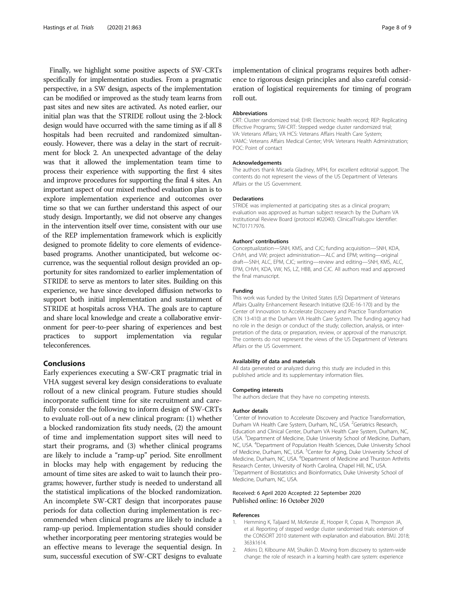<span id="page-7-0"></span>Finally, we highlight some positive aspects of SW-CRTs specifically for implementation studies. From a pragmatic perspective, in a SW design, aspects of the implementation can be modified or improved as the study team learns from past sites and new sites are activated. As noted earlier, our initial plan was that the STRIDE rollout using the 2-block design would have occurred with the same timing as if all 8 hospitals had been recruited and randomized simultaneously. However, there was a delay in the start of recruitment for block 2. An unexpected advantage of the delay was that it allowed the implementation team time to process their experience with supporting the first 4 sites and improve procedures for supporting the final 4 sites. An important aspect of our mixed method evaluation plan is to explore implementation experience and outcomes over time so that we can further understand this aspect of our study design. Importantly, we did not observe any changes in the intervention itself over time, consistent with our use of the REP implementation framework which is explicitly designed to promote fidelity to core elements of evidencebased programs. Another unanticipated, but welcome occurrence, was the sequential rollout design provided an opportunity for sites randomized to earlier implementation of STRIDE to serve as mentors to later sites. Building on this experience, we have since developed diffusion networks to support both initial implementation and sustainment of STRIDE at hospitals across VHA. The goals are to capture and share local knowledge and create a collaborative environment for peer-to-peer sharing of experiences and best practices to support implementation via regular teleconferences.

# Conclusions

Early experiences executing a SW-CRT pragmatic trial in VHA suggest several key design considerations to evaluate rollout of a new clinical program. Future studies should incorporate sufficient time for site recruitment and carefully consider the following to inform design of SW-CRTs to evaluate roll-out of a new clinical program: (1) whether a blocked randomization fits study needs, (2) the amount of time and implementation support sites will need to start their programs, and (3) whether clinical programs are likely to include a "ramp-up" period. Site enrollment in blocks may help with engagement by reducing the amount of time sites are asked to wait to launch their programs; however, further study is needed to understand all the statistical implications of the blocked randomization. An incomplete SW-CRT design that incorporates pause periods for data collection during implementation is recommended when clinical programs are likely to include a ramp-up period. Implementation studies should consider whether incorporating peer mentoring strategies would be an effective means to leverage the sequential design. In sum, successful execution of SW-CRT designs to evaluate

implementation of clinical programs requires both adherence to rigorous design principles and also careful consideration of logistical requirements for timing of program roll out.

#### Abbreviations

CRT: Cluster randomized trial; EHR: Electronic health record; REP: Replicating Effective Programs; SW-CRT: Stepped wedge cluster randomized trial; VA: Veterans Affairs; VA HCS: Veterans Affairs Health Care System; VAMC: Veterans Affairs Medical Center; VHA: Veterans Health Administration; POC: Point of contact

#### Acknowledgements

The authors thank Micaela Gladney, MPH, for excellent editorial support. The contents do not represent the views of the US Department of Veterans Affairs or the US Government.

#### Declarations

STRIDE was implemented at participating sites as a clinical program; evaluation was approved as human subject research by the Durham VA Institutional Review Board (protocol #02040). ClinicalTrials.gov Identifier: NCT01717976.

#### Authors' contributions

Conceptualization—SNH, KMS, and CJC; funding acquisition—SNH, KDA, CHVH, and VW; project administration—ALC and EPM; writing—original draft—SNH, ALC, EPM, CJC; writing—review and editing—SNH, KMS, ALC, EPM, CHVH, KDA, VW, NS, LZ, HBB, and CJC. All authors read and approved the final manuscript.

#### Funding

This work was funded by the United States (US) Department of Veterans Affairs Quality Enhancement Research Initiative (QUE-16-170) and by the Center of Innovation to Accelerate Discovery and Practice Transformation (CIN 13-410) at the Durham VA Health Care System. The funding agency had no role in the design or conduct of the study; collection, analysis, or interpretation of the data; or preparation, review, or approval of the manuscript. The contents do not represent the views of the US Department of Veterans Affairs or the US Government.

# Availability of data and materials

All data generated or analyzed during this study are included in this published article and its supplementary information files.

#### Competing interests

The authors declare that they have no competing interests.

#### Author details

<sup>1</sup> Center of Innovation to Accelerate Discovery and Practice Transformation Durham VA Health Care System, Durham, NC, USA. <sup>2</sup>Geriatrics Research Education and Clinical Center, Durham VA Health Care System, Durham, NC, USA. <sup>3</sup>Department of Medicine, Duke University School of Medicine, Durham, NC, USA. <sup>4</sup>Department of Population Health Sciences, Duke University School of Medicine, Durham, NC, USA. <sup>5</sup>Center for Aging, Duke University School of Medicine, Durham, NC, USA. <sup>6</sup>Department of Medicine and Thurston Arthritis Research Center, University of North Carolina, Chapel Hill, NC, USA. <sup>7</sup>Department of Biostatistics and Bioinformatics, Duke University School of Medicine, Durham, NC, USA.

# Received: 6 April 2020 Accepted: 22 September 2020 Published online: 16 October 2020

# References

- 1. Hemming K, Taljaard M, McKenzie JE, Hooper R, Copas A, Thompson JA, et al. Reporting of stepped wedge cluster randomised trials: extension of the CONSORT 2010 statement with explanation and elaboration. BMJ. 2018; 363:k1614.
- 2. Atkins D, Kilbourne AM, Shulkin D. Moving from discovery to system-wide change: the role of research in a learning health care system: experience